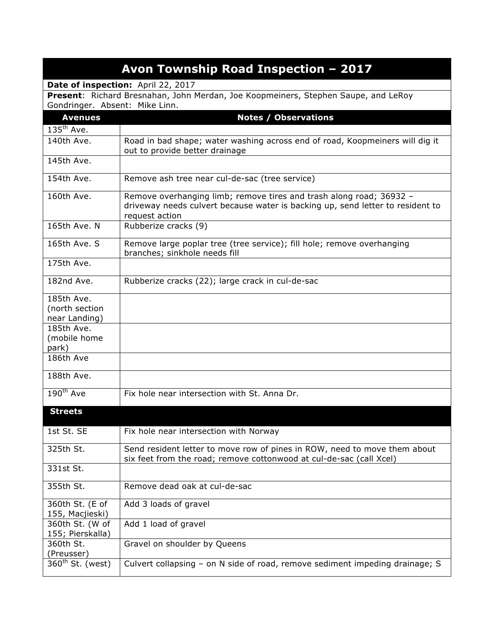| Avon Township Road Inspection - 2017 |                                                                                                                                                                         |  |
|--------------------------------------|-------------------------------------------------------------------------------------------------------------------------------------------------------------------------|--|
| Date of inspection: April 22, 2017   |                                                                                                                                                                         |  |
|                                      | Present: Richard Bresnahan, John Merdan, Joe Koopmeiners, Stephen Saupe, and LeRoy                                                                                      |  |
| Gondringer. Absent: Mike Linn.       |                                                                                                                                                                         |  |
| <b>Avenues</b>                       | <b>Notes / Observations</b>                                                                                                                                             |  |
| $135th$ Ave.                         |                                                                                                                                                                         |  |
| 140th Ave.                           | Road in bad shape; water washing across end of road, Koopmeiners will dig it<br>out to provide better drainage                                                          |  |
| 145th Ave.                           |                                                                                                                                                                         |  |
| 154th Ave.                           | Remove ash tree near cul-de-sac (tree service)                                                                                                                          |  |
| 160th Ave.                           | Remove overhanging limb; remove tires and trash along road; 36932 -<br>driveway needs culvert because water is backing up, send letter to resident to<br>request action |  |
| 165th Ave. N                         | Rubberize cracks (9)                                                                                                                                                    |  |
| 165th Ave. S                         | Remove large poplar tree (tree service); fill hole; remove overhanging<br>branches; sinkhole needs fill                                                                 |  |
| 175th Ave.                           |                                                                                                                                                                         |  |
| 182nd Ave.                           | Rubberize cracks (22); large crack in cul-de-sac                                                                                                                        |  |
| 185th Ave.                           |                                                                                                                                                                         |  |
| (north section                       |                                                                                                                                                                         |  |
| near Landing)                        |                                                                                                                                                                         |  |
| 185th Ave.                           |                                                                                                                                                                         |  |
| (mobile home<br>park)                |                                                                                                                                                                         |  |
| 186th Ave                            |                                                                                                                                                                         |  |
|                                      |                                                                                                                                                                         |  |
| 188th Ave.                           |                                                                                                                                                                         |  |
| $190^{th}$ Ave                       | Fix hole near intersection with St. Anna Dr.                                                                                                                            |  |
| <b>Streets</b>                       |                                                                                                                                                                         |  |
| 1st St. SE                           | Fix hole near intersection with Norway                                                                                                                                  |  |
| 325th St.                            | Send resident letter to move row of pines in ROW, need to move them about<br>six feet from the road; remove cottonwood at cul-de-sac (call Xcel)                        |  |
| 331st St.                            |                                                                                                                                                                         |  |
| 355th St.                            | Remove dead oak at cul-de-sac                                                                                                                                           |  |
| 360th St. (E of<br>155, Macjieski)   | Add 3 loads of gravel                                                                                                                                                   |  |
| 360th St. (W of<br>155; Pierskalla)  | Add 1 load of gravel                                                                                                                                                    |  |
| 360th St.<br>(Preusser)              | Gravel on shoulder by Queens                                                                                                                                            |  |
| $360th$ St. (west)                   | Culvert collapsing - on N side of road, remove sediment impeding drainage; S                                                                                            |  |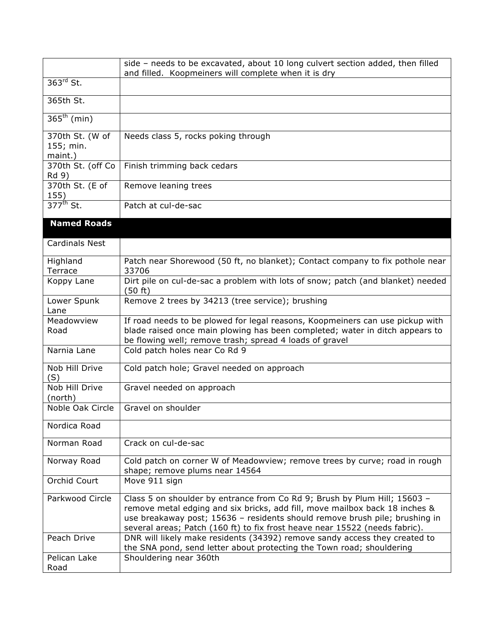|                                         | side - needs to be excavated, about 10 long culvert section added, then filled<br>and filled. Koopmeiners will complete when it is dry                                                                                                                                                                                 |
|-----------------------------------------|------------------------------------------------------------------------------------------------------------------------------------------------------------------------------------------------------------------------------------------------------------------------------------------------------------------------|
| $363rd$ St.                             |                                                                                                                                                                                                                                                                                                                        |
| 365th St.                               |                                                                                                                                                                                                                                                                                                                        |
| $365^{th}$ (min)                        |                                                                                                                                                                                                                                                                                                                        |
| 370th St. (W of<br>155; min.<br>maint.) | Needs class 5, rocks poking through                                                                                                                                                                                                                                                                                    |
| 370th St. (off Co<br>Rd 9)              | Finish trimming back cedars                                                                                                                                                                                                                                                                                            |
| 370th St. (E of<br>155)                 | Remove leaning trees                                                                                                                                                                                                                                                                                                   |
| $377^{\text{th}}$ St.                   | Patch at cul-de-sac                                                                                                                                                                                                                                                                                                    |
| <b>Named Roads</b>                      |                                                                                                                                                                                                                                                                                                                        |
| <b>Cardinals Nest</b>                   |                                                                                                                                                                                                                                                                                                                        |
| Highland<br>Terrace                     | Patch near Shorewood (50 ft, no blanket); Contact company to fix pothole near<br>33706                                                                                                                                                                                                                                 |
| Koppy Lane                              | Dirt pile on cul-de-sac a problem with lots of snow; patch (and blanket) needed<br>(50 ft)                                                                                                                                                                                                                             |
| Lower Spunk<br>Lane                     | Remove 2 trees by 34213 (tree service); brushing                                                                                                                                                                                                                                                                       |
| Meadowview<br>Road                      | If road needs to be plowed for legal reasons, Koopmeiners can use pickup with<br>blade raised once main plowing has been completed; water in ditch appears to<br>be flowing well; remove trash; spread 4 loads of gravel                                                                                               |
| Narnia Lane                             | Cold patch holes near Co Rd 9                                                                                                                                                                                                                                                                                          |
| Nob Hill Drive<br>(S)                   | Cold patch hole; Gravel needed on approach                                                                                                                                                                                                                                                                             |
| Nob Hill Drive<br>(north)               | Gravel needed on approach                                                                                                                                                                                                                                                                                              |
| Noble Oak Circle                        | Gravel on shoulder                                                                                                                                                                                                                                                                                                     |
| Nordica Road                            |                                                                                                                                                                                                                                                                                                                        |
| Norman Road                             | Crack on cul-de-sac                                                                                                                                                                                                                                                                                                    |
| Norway Road                             | Cold patch on corner W of Meadowview; remove trees by curve; road in rough<br>shape; remove plums near 14564                                                                                                                                                                                                           |
| Orchid Court                            | Move 911 sign                                                                                                                                                                                                                                                                                                          |
| Parkwood Circle                         | Class 5 on shoulder by entrance from Co Rd 9; Brush by Plum Hill; 15603 -<br>remove metal edging and six bricks, add fill, move mailbox back 18 inches &<br>use breakaway post; 15636 - residents should remove brush pile; brushing in<br>several areas; Patch (160 ft) to fix frost heave near 15522 (needs fabric). |
| Peach Drive                             | DNR will likely make residents (34392) remove sandy access they created to<br>the SNA pond, send letter about protecting the Town road; shouldering                                                                                                                                                                    |
| Pelican Lake<br>Road                    | Shouldering near 360th                                                                                                                                                                                                                                                                                                 |